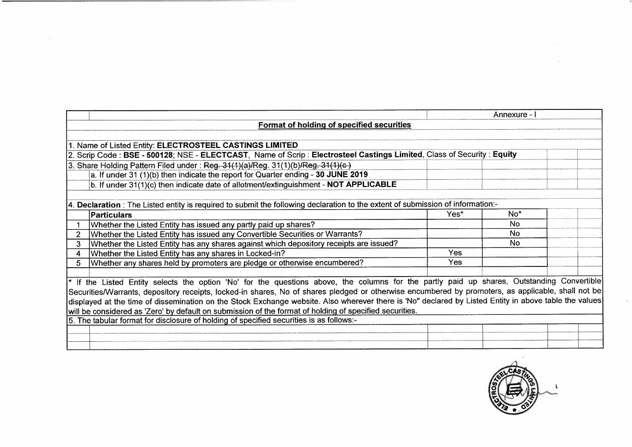|                                                                                                                                                       |      | Annexure -      |  |
|-------------------------------------------------------------------------------------------------------------------------------------------------------|------|-----------------|--|
| Format of holding of specified securities                                                                                                             |      |                 |  |
|                                                                                                                                                       |      |                 |  |
| 1. Name of Listed Entity: ELECTROSTEEL CASTINGS LIMITED                                                                                               |      |                 |  |
| 2. Scrip Code: BSE - 500128; NSE - ELECTCAST, Name of Scrip: Electrosteel Castings Limited, Class of Security: Equity                                 |      |                 |  |
| 3. Share Holding Pattern Filed under: Reg. 31(1)(a)/Reg. 31(1)(b)/Reg. 31(1)(c)                                                                       |      |                 |  |
| a. If under 31 (1)(b) then indicate the report for Quarter ending - 30 JUNE 2019                                                                      |      |                 |  |
| b. If under 31(1)(c) then indicate date of allotment/extinguishment - NOT APPLICABLE                                                                  |      |                 |  |
|                                                                                                                                                       |      |                 |  |
| 4. Declaration: The Listed entity is required to submit the following declaration to the extent of submission of information:-                        |      |                 |  |
| <b>Particulars</b>                                                                                                                                    | Yes* | No <sup>*</sup> |  |
| Whether the Listed Entity has issued any partly paid up shares?                                                                                       |      | <b>No</b>       |  |
| Whether the Listed Entity has issued any Convertible Securities or Warrants?                                                                          |      | <b>No</b>       |  |
| Whether the Listed Entity has any shares against which depository receipts are issued?<br>3                                                           |      | No.             |  |
| Whether the Listed Entity has any shares in Locked-in?                                                                                                | Yes  |                 |  |
| Whether any shares held by promoters are pledge or otherwise encumbered?<br>5                                                                         | Yes  |                 |  |
|                                                                                                                                                       |      |                 |  |
| <sup>*</sup> If the Listed Entity selects the option 'No' for the questions above, the columns for the partly paid up shares, Outstanding Convertible |      |                 |  |
| Securities/Warrants, depository receipts, locked-in shares, No of shares pledged or otherwise encumbered by promoters, as applicable, shall not be    |      |                 |  |
| displayed at the time of dissemination on the Stock Exchange website. Also wherever there is 'No" declared by Listed Entity in above table the values |      |                 |  |
| will be considered as 'Zero' by default on submission of the format of holding of specified securities.                                               |      |                 |  |
| 5. The tabular format for disclosure of holding of specified securities is as follows:-                                                               |      |                 |  |
|                                                                                                                                                       |      |                 |  |
|                                                                                                                                                       |      |                 |  |
|                                                                                                                                                       |      |                 |  |

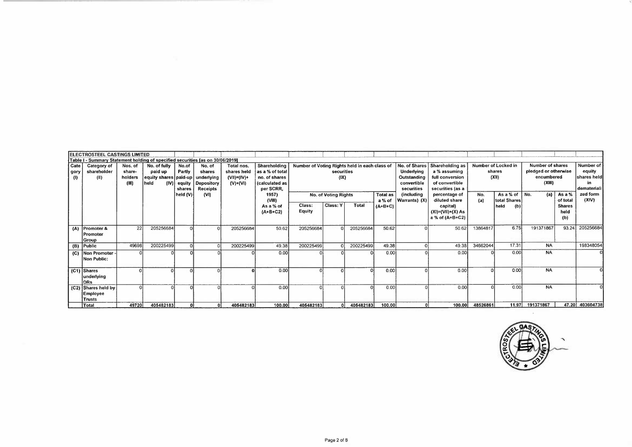|                     | ELECTROSTEEL CASTINGS LIMITED                                                  |         |                                      |          |                        |             |                     |                                               |                             |              |                     |               |                           |          |                              |                      |                           |                   |
|---------------------|--------------------------------------------------------------------------------|---------|--------------------------------------|----------|------------------------|-------------|---------------------|-----------------------------------------------|-----------------------------|--------------|---------------------|---------------|---------------------------|----------|------------------------------|----------------------|---------------------------|-------------------|
|                     | Table I - Summary Statement holding of specified securities [as on 30/06/2019] |         |                                      |          |                        |             |                     |                                               |                             |              |                     |               |                           |          |                              |                      |                           |                   |
| Cate                | Category of                                                                    | Nos. of | No. of fully                         | No.of    | No. of                 | Total nos.  | Shareholding        | Number of Voting Rights held in each class of |                             |              |                     | No. of Shares | Shareholding as           |          | Number of Locked in          | Number of shares     |                           | Number of         |
| gory                | shareholder                                                                    | share-  | paid up                              | Partly   | shares                 | shares held | as a % of total     |                                               | securities                  |              |                     | Underlying    | a % assuming              |          | shares                       | pledged or otherwise |                           | equity            |
| $\langle 0 \rangle$ | (II)                                                                           | holders | equity shares   paid-up   underlying |          |                        | (VII)=(IV)+ | no. of shares       |                                               | (IX)                        |              |                     | Outstanding   | full conversion           |          | (XII)                        | encumbered           |                           | shares held       |
|                     |                                                                                | (III)   | held                                 |          | (IV) equity Depository | $(V)+(V)$   | (calculated as      |                                               |                             |              |                     | convertible   | of convertible            |          |                              | (XIII)               |                           | in.               |
|                     |                                                                                |         |                                      | shares   | Receipts               |             | per SCRR,           |                                               |                             |              |                     | securities    | securities (as a          |          |                              |                      |                           | demateriali       |
|                     |                                                                                |         |                                      | held (V) | (VI)                   |             | 1957)               |                                               | <b>No. of Voting Rights</b> |              | <b>Total as</b>     | (including    | percentage of             | No.      | As a % of                    | No.<br>(a)           | As a %                    | zed form<br>(XIV) |
|                     |                                                                                |         |                                      |          |                        |             | (VIII)<br>As a % of | Class:                                        | Class: Y                    | <b>Total</b> | a % of<br>$(A+B+C)$ | Warrants) (X) | diluted share<br>capital) | (a)      | total Shares<br>held<br>(b)) |                      | of total<br><b>Shares</b> |                   |
|                     |                                                                                |         |                                      |          |                        |             | $(A+B+C2)$          | Equity                                        |                             |              |                     |               | $(XI) = (VII)+(X) As$     |          |                              |                      | held                      |                   |
|                     |                                                                                |         |                                      |          |                        |             |                     |                                               |                             |              |                     |               | a % of (A+B+C2)           |          |                              |                      | (b)                       |                   |
|                     |                                                                                |         |                                      |          |                        |             |                     |                                               |                             |              |                     |               |                           |          |                              |                      |                           |                   |
|                     | (A) Promoter &                                                                 | 22      | 205256684                            |          |                        | 205256684   | 50.62               | 205256684                                     |                             | 205256684    | 50.62               |               | 50.62                     | 13864817 | 6.75                         | 191371867            | 93.24                     | 205256684         |
|                     | Promoter                                                                       |         |                                      |          |                        |             |                     |                                               |                             |              |                     |               |                           |          |                              |                      |                           |                   |
|                     | Group                                                                          |         |                                      |          |                        |             |                     |                                               |                             |              |                     |               |                           |          |                              |                      |                           |                   |
|                     | (B) Public                                                                     | 49698   | 200225499                            |          |                        | 200225499   | 49.38               | 200225499                                     |                             | 200225499    | 49.38               |               | 49.38                     | 34662044 | 17.31                        | <b>NA</b>            |                           | 198348054         |
|                     | (C)   Non Promoter -                                                           |         |                                      |          |                        |             | 0.00                |                                               |                             |              | 0.00                |               | 0.00                      |          | 0 <sub>00</sub>              | <b>NA</b>            |                           |                   |
|                     | Non Public:                                                                    |         |                                      |          |                        |             |                     |                                               |                             |              |                     |               |                           |          |                              |                      |                           |                   |
|                     |                                                                                |         |                                      |          |                        |             |                     |                                               |                             |              |                     |               |                           |          |                              |                      |                           |                   |
|                     | $(C1)$ Shares                                                                  |         |                                      |          |                        |             | 0.00                |                                               |                             |              | 0.00                |               | 0.00                      |          | 0 <sub>0</sub>               | <b>NA</b>            |                           |                   |
|                     | underlying                                                                     |         |                                      |          |                        |             |                     |                                               |                             |              |                     |               |                           |          |                              |                      |                           |                   |
|                     | DRs.                                                                           |         |                                      |          |                        |             |                     |                                               |                             |              |                     |               |                           |          |                              |                      |                           |                   |
|                     | (C2) Shares held by                                                            |         |                                      |          |                        |             | 0.00                |                                               |                             |              | 0.00                |               | 0.00                      |          | 0.00                         | <b>NA</b>            |                           |                   |
|                     | <b>Employee</b>                                                                |         |                                      |          |                        |             |                     |                                               |                             |              |                     |               |                           |          |                              |                      |                           |                   |
|                     | Trusts                                                                         |         |                                      |          |                        |             |                     |                                               |                             |              |                     |               |                           |          |                              |                      |                           |                   |
|                     | Total                                                                          | 49720   | 405482183                            |          | 01                     | 405482183   | 100.00              | 405482183                                     | 01                          | 405482183    | 100.00              |               | 100.00                    | 48526861 | 11.97                        | 191371867            |                           | 47.20 403604738   |

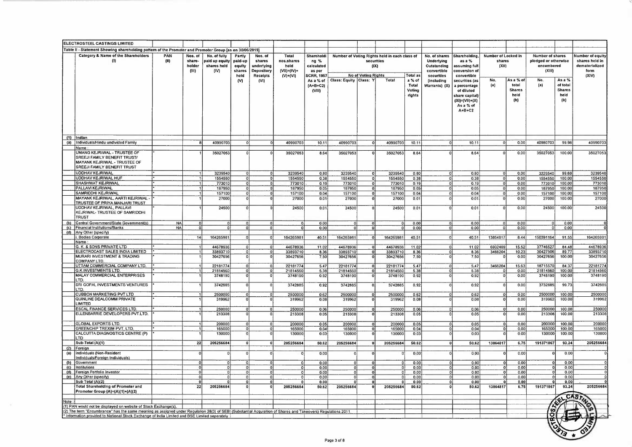|            | ELECTROSTEEL CASTINGS LIMITED                                                                                                                                                                                                                                   |             |                                      |                                                       |                                               |                                                           |                                                          |                                                                 |                          |                                  |                                                                              |                                     |                                                                         |                                                                                                           |                                        |                                                    |                                                                         |                                                    |                                                                       |
|------------|-----------------------------------------------------------------------------------------------------------------------------------------------------------------------------------------------------------------------------------------------------------------|-------------|--------------------------------------|-------------------------------------------------------|-----------------------------------------------|-----------------------------------------------------------|----------------------------------------------------------|-----------------------------------------------------------------|--------------------------|----------------------------------|------------------------------------------------------------------------------|-------------------------------------|-------------------------------------------------------------------------|-----------------------------------------------------------------------------------------------------------|----------------------------------------|----------------------------------------------------|-------------------------------------------------------------------------|----------------------------------------------------|-----------------------------------------------------------------------|
|            | Table II - Statement Showing shareholding pattern of the Promoter and Promoter Group [as on 30/06/2019]                                                                                                                                                         |             |                                      |                                                       |                                               |                                                           |                                                          |                                                                 |                          |                                  |                                                                              |                                     |                                                                         |                                                                                                           |                                        |                                                    |                                                                         |                                                    |                                                                       |
|            | Category & Name of the Shareholders<br>w                                                                                                                                                                                                                        | PAN<br>(II) | Nos. of<br>share-<br>holder<br>(III) | No. of fully<br>paid up equity<br>shares held<br>(IV) | Partly<br>paid-up<br>equity<br>shares<br>held | Nos. of<br>shares<br>underlying<br>Depository<br>Receipts | Total<br>nos.shares<br>held<br>(VII)=(IV)+<br>$(V)+(VI)$ | Shareholdi<br>ng %<br>calculated<br>as per<br><b>SCRR, 1957</b> |                          | No of Voting Rights              | Number of Voting Rights held in each class of<br>securities<br>$( X\rangle)$ | Total as                            | No. of shares<br>Underlying<br>Outstanding<br>convertible<br>securities | Shareholding,<br>as a $%$<br>assuming full<br>conversion of<br>convertible                                | Number of Locked in<br>shares<br>(XII) |                                                    | <b>Number of shares</b><br>pledged or otherwise<br>encumbered<br>(XIII) |                                                    | Number of equity<br>shares held in<br>dematerialized<br>form<br>(XIV) |
|            |                                                                                                                                                                                                                                                                 |             |                                      |                                                       | (N)                                           | (VI)                                                      |                                                          | As a % of<br>$(A+B+C2)$<br>(VIII)                               | Class: Equity   Class: Y |                                  | Total                                                                        | a % of<br>Total<br>Voting<br>rights | (including<br>Warrants) (X)                                             | securities (as<br>a percentage<br>of diluted<br>share capital)<br>$(XI)=(VII)+(X)$<br>As a % of<br>A+B+C2 | No.<br>(a)                             | As a % of<br>total<br><b>Shares</b><br>heid<br>(b) | No.<br>(a)                                                              | As a %<br>of total<br><b>Shares</b><br>held<br>(b) |                                                                       |
| (1)        | Indian                                                                                                                                                                                                                                                          |             |                                      |                                                       |                                               |                                                           |                                                          |                                                                 |                          |                                  |                                                                              |                                     |                                                                         |                                                                                                           |                                        |                                                    |                                                                         |                                                    |                                                                       |
| (a)        | Individuals/Hindu undivided Family                                                                                                                                                                                                                              |             |                                      | 40990703                                              | οl                                            | 0                                                         | 40990703                                                 | 10.11                                                           | 40990703                 | $\mathbf{o}$                     | 40990703                                                                     | 10.11                               | $\Omega$                                                                | 10.11                                                                                                     |                                        | 0.00                                               | 40980703                                                                | 99.98                                              | 40990703                                                              |
|            | Name<br>UMANG KEJRIWAL - TRUSTEE OF<br>SREEJI FAMILY BENEFIT TRUST/<br>MAYANK KEJRIWAL - TRUSTEE OF<br><b>SREEJI FAMILY BENEFIT TRUST</b>                                                                                                                       |             |                                      | 35027053                                              |                                               |                                                           | 35027053                                                 | 8.64                                                            | 35027053                 |                                  | 35027053                                                                     | 8.64                                | $\Omega$                                                                | 8.64                                                                                                      |                                        | 0.00                                               | 35027053                                                                | 100.00                                             | 35027053                                                              |
|            | <b>UDDHAV KEJRIWAL</b>                                                                                                                                                                                                                                          |             |                                      | 3239540                                               | $\overline{0}$                                | $\mathbf{0}$                                              | 3239540                                                  | 0.80                                                            | 3239540                  | 0                                | 3239540                                                                      | 0.80                                | 0                                                                       | 0.80                                                                                                      | $\Omega$                               | 0,00                                               | 3229540                                                                 | 99.69                                              | 3239540                                                               |
|            | UDDHAV KEJRIWAL HUF<br>SHASHWAT KEJRIWAL                                                                                                                                                                                                                        |             |                                      | 1554550<br>773010                                     | οl<br> 0                                      | $\circ$<br>$\mathbf{0}$                                   | 1554550<br>773010                                        | 0.38<br>0.19                                                    | 1554550<br>773010        | 0<br> 0                          | 1554550<br>773010                                                            | 0.38<br>0.19                        | οl<br>οļ                                                                | 0.38<br>0.19                                                                                              | r                                      | 0.00<br>0.00                                       | 1554550<br>773010                                                       | 100.00<br>100.00                                   | 1554550<br>773010                                                     |
|            | PALLAVI KEJRIWAL                                                                                                                                                                                                                                                |             |                                      | 187950                                                | οl                                            | ΩI                                                        | 187950                                                   | 0.05                                                            | 187950                   | οļ                               | 187950                                                                       | 0.05                                | οi                                                                      | 0.05                                                                                                      | $\Omega$                               | 0.00                                               | 187950                                                                  | 100.00                                             | 187950                                                                |
|            | SAMRIDDHI KEJRIWAL                                                                                                                                                                                                                                              |             |                                      | 157100                                                | 0                                             | οI                                                        | 157100                                                   | 0.04                                                            | 157100                   | 0                                | 157100                                                                       | 0.04                                | $\mathbf{0}$                                                            | 0.04                                                                                                      |                                        | 0.00                                               | 157100                                                                  | 100.00                                             | 157100                                                                |
|            | MAYANK KEJRIWAL, AARTI KEJRIWAL<br>TRUSTEE OF PRIYA MANJARI TRUST<br>UDDHAV KEJRIWAL, PALLAVI                                                                                                                                                                   |             |                                      | 27000<br>24500                                        | $\Omega$                                      |                                                           | 27000<br>24500                                           | 0.01<br>0.01                                                    | 27000<br>24500           | $\Omega$<br>$\Omega$             | 27000<br>24500                                                               | 0.01<br>0.01                        | $\Omega$<br>$\Omega$                                                    | 0.01<br>0.01                                                                                              |                                        | 0.00<br>0.00                                       | 27000<br>24500                                                          | 100.00<br>100.00                                   | 27000<br>24500                                                        |
| (b)        | KEJRIWAL- TRUSTEE OF SAMRIDDHI<br><b>TRUST</b><br>Central Government/State Government(s)                                                                                                                                                                        | <b>NA</b>   | ol                                   | $\Omega$                                              | $\Omega$                                      | $\circ$                                                   | $\Omega$                                                 | 0.00                                                            | $\Omega$                 | $\circ$                          |                                                                              | 0.00                                | $\overline{0}$                                                          | 0,00                                                                                                      |                                        | 000                                                |                                                                         | 0.00                                               |                                                                       |
| (c)        | Financial Institutions/Banks                                                                                                                                                                                                                                    | <b>NA</b>   | $\Omega$                             | $\mathbf{0}$                                          | $\Omega$                                      | $\mathbf{0}$                                              | $\Omega$                                                 | 0.00                                                            | $\Omega$                 | $\mathbf 0$                      | $\Omega$                                                                     | 0.00                                | $\Omega$                                                                | 000                                                                                                       |                                        | 0.00                                               | $\Omega$                                                                | 0.00                                               |                                                                       |
|            | (d) Any Other (specify)                                                                                                                                                                                                                                         |             |                                      |                                                       |                                               |                                                           |                                                          |                                                                 |                          |                                  |                                                                              |                                     |                                                                         |                                                                                                           |                                        |                                                    |                                                                         |                                                    |                                                                       |
|            | . Bodies Corporate                                                                                                                                                                                                                                              |             | 14                                   | 164265981                                             | $\Omega$                                      | $\Omega$                                                  | 164265981                                                | 40.51                                                           | 164265981                | $\Omega$                         | 164265981                                                                    | 40.51                               | 0                                                                       | 40.51                                                                                                     | 13864817                               | 8.44                                               | 150391164                                                               | 91.55                                              | 16426598                                                              |
|            | Name:<br>G. K. & SONS PRIVATE LTD                                                                                                                                                                                                                               |             |                                      | 44678936                                              | $\circ$                                       | οł                                                        | 44678936                                                 | 11.02                                                           | 44678936                 | $\Omega$                         | 44678936                                                                     | 11.02                               | οl                                                                      | 11.02                                                                                                     | 6932409                                | 15.52                                              | 37746527                                                                | 84 48                                              | 44678936                                                              |
|            | ELECTROCAST SALES INDIA LIMITED<br>MURARI INVESTMENT & TRADING<br><b>COMPANY LTD</b>                                                                                                                                                                            |             |                                      | 33893710<br>30427656                                  | $\overline{\mathfrak{o}}$<br>$\Omega$         | ol<br>$\Omega$                                            | 33893710<br>30427656                                     | 8.36<br>7.50                                                    | 33893710<br>30427656     | $\overline{0}$<br>$\overline{0}$ | 33893710<br>30427656                                                         | 8.36<br>7.50                        | $\overline{0}$<br>$\Omega$                                              | 8.36<br>7.50                                                                                              | 3466204                                | 10.23<br>0.00                                      | 30427506<br>30427656                                                    | 89.77<br>100.00                                    | 33893710<br>30427656                                                  |
|            | UTTAM COMMERCIAL COMPANY LTD.                                                                                                                                                                                                                                   |             |                                      | 22181774                                              | $\Omega$                                      | -o.                                                       | 22181774                                                 | 5.47                                                            | 22181774                 | 0                                | 22181774                                                                     | 5.47                                | $\mathbf{0}$                                                            | 5.47                                                                                                      | 3466204                                | 15.63                                              | 18715570                                                                | 84.37                                              | 22181774                                                              |
|            | G.K.INVESTMENTS LTD.                                                                                                                                                                                                                                            |             |                                      | 21814560                                              | $\Omega$                                      | - O i                                                     | 21814560                                                 | 5.38                                                            | 21814560                 | 0                                | 21814560                                                                     | 5.38                                | $\Omega$                                                                | 5.38                                                                                                      |                                        | 0.00                                               | 21814560                                                                | 100.00                                             | 21814560                                                              |
|            | MALAY COMMERCIAL ENTERPRISES<br>LTD.<br>SRI GOPAL INVESTMENTS VENTURES                                                                                                                                                                                          |             |                                      | 3748190<br>3742885                                    |                                               | $\Omega$<br>$\Omega$                                      | 3748190<br>3742885                                       | 0.92<br>0.92                                                    | 3748190<br>3742885       | $\mathbf{o}$<br>$\mathbf{0}$     | 3748190<br>3742885                                                           | 0.92<br>0.92                        | 0<br>$\Omega$                                                           | 0.92<br>0.92                                                                                              |                                        | 0.00<br>0.00                                       | 3748190<br>3732885                                                      | 100.00<br>99.73                                    | 3748190<br>3742885                                                    |
|            | LTD.                                                                                                                                                                                                                                                            |             |                                      |                                                       |                                               |                                                           |                                                          |                                                                 |                          |                                  |                                                                              |                                     |                                                                         |                                                                                                           |                                        |                                                    |                                                                         |                                                    |                                                                       |
|            | CUBBON MARKETING PVT LTD<br>QUINLINE DEALCOMM PRIVATE<br>LIMITED                                                                                                                                                                                                |             |                                      | 2500000<br>319962                                     | $\Omega$                                      | - Oʻl<br>$\mathbf{0}$                                     | 2500000<br>319962                                        | 0.62<br>0.08                                                    | 2500000<br>319962        | 0 <br>$\mathbf 0$                | 2500000<br>319962                                                            | 0.62<br>0.08                        | $\Omega$<br>$\Omega$                                                    | 062<br>0.08                                                                                               |                                        | 000<br>0.00                                        | 2500000<br>319962                                                       | 100.00<br>100 00                                   | 2500000<br>319962                                                     |
|            | <b>ESCAL FINANCE SERVICES LTD.</b>                                                                                                                                                                                                                              |             |                                      | 250000                                                | $\Omega$                                      | $\Omega$                                                  | 250000                                                   | 0.06                                                            | 250000                   | 0                                | 250000                                                                       | 0.06                                | οł                                                                      | 0.06                                                                                                      | $\Omega$                               | 000                                                | 250000                                                                  | 100.00                                             | 250000                                                                |
|            | ELLENBARRIE DEVELOPERS PVT.LTD.<br><b>GLOBAL EXPORTS LTD.</b>                                                                                                                                                                                                   |             |                                      | 213308<br>200000                                      | $\Omega$<br>$\mathbf{o}$                      | $\Omega$<br>0                                             | 213308<br>200000                                         | 0.05<br>0.05                                                    | 213308<br>200000         | $\mathbf 0$<br> 0                | 213308<br>200000                                                             | 0.05<br>0.05                        | $\circ$<br>0                                                            | 0.05<br>0.05                                                                                              | $\Omega$<br>$\Omega$                   | 0.00<br>0.00                                       | 213308<br>200000                                                        | 100,00<br>100.00                                   | 213308<br>200000                                                      |
|            | <b>GREENCHIP TREXIM PVT. LTD</b>                                                                                                                                                                                                                                |             |                                      | 165000                                                | $\overline{0}$                                | $^{\circ}$                                                | 165000                                                   | 0.04                                                            | 165000                   | 0                                | 165000                                                                       | 0.04                                | $\Omega$                                                                | 0.04                                                                                                      |                                        | 0.00                                               | 165000                                                                  | 100.00                                             | 16500                                                                 |
|            | CALCUTTA DIAGNOSTICS CENTRE (P)<br>LTD.<br>Sub-Total (A)(1)                                                                                                                                                                                                     |             | 22                                   | 130000<br>205256684                                   | 0                                             | $\mathbf{a}$                                              | 130000<br>205256684                                      | 0.03<br>50.62                                                   | 130000<br>205256684      | $\mathbf 0$<br> 0                | 130000<br>205256684                                                          | 0.03<br>50.62                       | $\bf{0}$                                                                | 0.03<br>50.62                                                                                             | 13864817                               | 0.00<br>6.75                                       | 130000<br>191371867                                                     | 100.00<br>93.24                                    | 130000<br>205256684                                                   |
| (2)<br>(a) | Foreign<br>Individuals (Non-Resident<br>Individuals/Foreign Individuals)                                                                                                                                                                                        |             | $\Omega$                             |                                                       | $\circ$                                       | $\Omega$                                                  | $\circ$                                                  | 0.00                                                            | $\mathbf{0}$             | $\Omega$                         |                                                                              | 0,00                                | O                                                                       | 000                                                                                                       |                                        | 0.00                                               |                                                                         | 0.00                                               |                                                                       |
| (b)        | Government                                                                                                                                                                                                                                                      |             | n                                    |                                                       | $\Omega$                                      |                                                           | οl                                                       | 0.00                                                            | οl                       | $\Omega$                         | ΩI                                                                           | 0.00                                | $\Omega$                                                                | 0.00                                                                                                      |                                        | 0.00                                               |                                                                         | 0.00                                               |                                                                       |
|            | (c) Institutions                                                                                                                                                                                                                                                |             |                                      | $\Omega$                                              | 0                                             | $\Omega$                                                  | οł                                                       | 0.00                                                            | 0                        | $\Omega$                         | 0                                                                            | 0.00                                | 0                                                                       | 0.00                                                                                                      | $^{\circ}$                             | 0.00                                               |                                                                         | 0.00                                               |                                                                       |
|            | (d) Foreign Portfolio Investor<br>(e) Any Other (specify)                                                                                                                                                                                                       |             | $\Omega$                             | $\Omega$                                              | $\mathbf{0}$                                  | $\mathbf{0}$                                              | ٥ł<br>$\Omega$                                           | 0.00<br>000                                                     | οI                       | $\mathbf 0$                      | -01<br>ΩI                                                                    | 0.00<br>0.00                        | οl                                                                      | 0.00<br>0.00                                                                                              | 01                                     | 0.00<br>0.00                                       | o                                                                       | 0.00<br>0.00                                       |                                                                       |
|            | Sub Total (A)(2)                                                                                                                                                                                                                                                |             | $\Omega$                             | $\Omega$                                              | $\mathbf{0}$                                  | $\mathbf{a}$                                              | οl                                                       | 0.00                                                            | $\Omega$                 | $\mathbf{0}$                     | $\mathbf{0}$                                                                 | 0.00                                | $\Omega$                                                                | 0.00                                                                                                      | $\Omega$                               | 0.00                                               | 0                                                                       | 0.00                                               |                                                                       |
|            | <b>Total Shareholding of Promoter and</b><br>Promoter Group (A)=(A)(1)+(A)(2)                                                                                                                                                                                   |             | 22                                   | 205256684                                             |                                               |                                                           | 205256684                                                | 50.62                                                           | 205256684                |                                  | 205256684                                                                    | 50.62                               | $\Omega$                                                                | 50.62                                                                                                     | 13864817                               | 6.75                                               | 191371867                                                               | 93.24<br><b>CAS</b>                                | 205256684                                                             |
| Note:      |                                                                                                                                                                                                                                                                 |             |                                      |                                                       |                                               |                                                           |                                                          |                                                                 |                          |                                  |                                                                              |                                     |                                                                         |                                                                                                           |                                        |                                                    |                                                                         |                                                    |                                                                       |
|            | (1) PAN would not be displayed on website of Stock Exchange(s).                                                                                                                                                                                                 |             |                                      |                                                       |                                               |                                                           |                                                          |                                                                 |                          |                                  |                                                                              |                                     |                                                                         |                                                                                                           |                                        |                                                    |                                                                         |                                                    |                                                                       |
|            | (2) The term "Encumbrance" has the same meaning as assigned under Regulation 28(3) of SEBI (Substantial Acquisition of Shares and Takeovers) Regulations 2011.<br>* Information provided to National Stock Exchange of India Limited and BSE Limited seperately |             |                                      |                                                       |                                               |                                                           |                                                          |                                                                 |                          |                                  |                                                                              |                                     |                                                                         |                                                                                                           |                                        |                                                    | o                                                                       |                                                    |                                                                       |
|            |                                                                                                                                                                                                                                                                 |             |                                      |                                                       |                                               |                                                           |                                                          |                                                                 | Page 3 of 8              |                                  |                                                                              |                                     |                                                                         |                                                                                                           |                                        |                                                    |                                                                         |                                                    |                                                                       |
|            |                                                                                                                                                                                                                                                                 |             |                                      |                                                       |                                               |                                                           |                                                          |                                                                 |                          |                                  |                                                                              |                                     |                                                                         |                                                                                                           |                                        |                                                    |                                                                         |                                                    |                                                                       |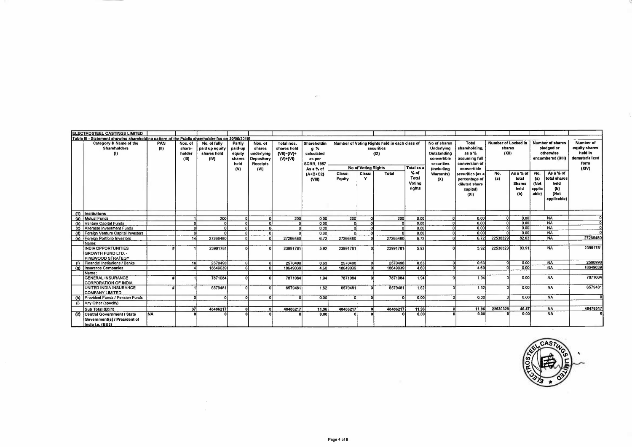|     | <b>ELECTROSTEEL CASTINGS LIMITED</b>                                                            |             |                                      |                                                       |                                                      |                                                                          |                                                                |                                                                                |                  |                            |                                                                     |                                     |                                                                                             |                                                                                   |                                        |                                                    |                                        |                                                                         |                                                                          |
|-----|-------------------------------------------------------------------------------------------------|-------------|--------------------------------------|-------------------------------------------------------|------------------------------------------------------|--------------------------------------------------------------------------|----------------------------------------------------------------|--------------------------------------------------------------------------------|------------------|----------------------------|---------------------------------------------------------------------|-------------------------------------|---------------------------------------------------------------------------------------------|-----------------------------------------------------------------------------------|----------------------------------------|----------------------------------------------------|----------------------------------------|-------------------------------------------------------------------------|--------------------------------------------------------------------------|
|     | Table III - Statement showing shareholding pattern of the Public shareholder [as on 30/06/2019] |             |                                      |                                                       |                                                      |                                                                          |                                                                |                                                                                |                  |                            |                                                                     |                                     |                                                                                             |                                                                                   |                                        |                                                    |                                        |                                                                         |                                                                          |
|     | Category & Name of the<br><b>Shareholders</b><br>$\langle \mathsf{I} \rangle$                   | PAN<br>(11) | Nos. of<br>share-<br>holder<br>(III) | No. of fully<br>paid up equity<br>shares held<br>(IV) | Partly<br>paid-up<br>equity<br>shares<br>held<br>(N) | Nos. of<br>shares<br>underlying<br>Depository<br><b>Receipts</b><br>(VI) | Total nos.<br>shares held<br>$(VII) = (IV) +$<br>$(V)$ + $(V)$ | Shareholdin<br>$9 \%$<br>calculated<br>as per<br><b>SCRR 1957</b><br>As a % of |                  | <b>No of Voting Rights</b> | Number of Voting Rights held in each class of<br>securities<br>(IX) | <b>Total as a</b>                   | No of shares<br>Underlying<br>Outstanding<br>convertible<br>securities<br><i>(including</i> | Total<br>shareholding,<br>as a %<br>assuming full<br>conversion of<br>convertible | Number of Locked in<br>shares<br>(X I) |                                                    |                                        | <b>Number of shares</b><br>pledged or<br>otherwise<br>encumbered (XIII) | Number of<br>equity shares<br>held in<br>dematerialized<br>form<br>(XIV) |
|     |                                                                                                 |             |                                      |                                                       |                                                      |                                                                          |                                                                | $(A+B+C2)$<br>(VIII)                                                           | Class:<br>Equity | Class:<br>$\mathbf{v}$     | Total                                                               | $%$ of<br>Total<br>Votina<br>rights | Warrants)<br>(X)                                                                            | securities (as a<br>percentage of<br>diluted share<br>capital)<br>(XI)            | No.<br>(a)                             | As a % of<br>total<br><b>Shares</b><br>heid<br>(b) | No.<br>(a)<br>(Not<br>applic.<br>able) | As a % of<br>total shares<br>held<br>(b)<br>(Not<br>applicable)         |                                                                          |
|     | (1) Institutions                                                                                |             |                                      |                                                       |                                                      |                                                                          |                                                                |                                                                                |                  |                            |                                                                     |                                     |                                                                                             |                                                                                   |                                        |                                                    |                                        |                                                                         |                                                                          |
| (a) | Mutual Funds                                                                                    |             |                                      | 200                                                   |                                                      |                                                                          | 200                                                            | 0.00                                                                           | 200              |                            | 200                                                                 | 0.00                                |                                                                                             | 0.00                                                                              |                                        | 0.00                                               |                                        | <b>NA</b>                                                               |                                                                          |
|     | (b) Venture Capital Funds                                                                       |             | $\sqrt{2}$                           |                                                       | $\mathbf{a}$                                         | οl                                                                       | $\Omega$                                                       | 0.00                                                                           | ٥ł               | $\sqrt{2}$                 |                                                                     | 0.00                                |                                                                                             | 0.00                                                                              | ി                                      | 0.00                                               |                                        | <b>NA</b>                                                               |                                                                          |
|     | (c) Alternate Investment Funds                                                                  |             | n                                    |                                                       |                                                      | nl                                                                       | $\Omega$                                                       | 0.00                                                                           | ΩI               |                            |                                                                     | 0.00                                |                                                                                             | 0.00                                                                              |                                        | 0.00                                               |                                        | <b>NA</b>                                                               |                                                                          |
|     | (d) Foreign Venture Capital Investors                                                           |             | $\Omega$                             |                                                       |                                                      |                                                                          |                                                                | 0.00                                                                           |                  |                            |                                                                     | 0.00                                |                                                                                             | 0.00                                                                              |                                        | 0.00                                               |                                        | <b>NA</b>                                                               |                                                                          |
|     | (e) Foreign Portfolio Investors                                                                 |             | 14                                   | 27266480                                              |                                                      | $\sim$                                                                   | 27266480                                                       | 6.72                                                                           | 27266480         |                            | 27266480                                                            | 6.72                                |                                                                                             | 6.72                                                                              | 22530329                               | 82.63                                              |                                        | <b>NA</b>                                                               | 27266480                                                                 |
|     | IName:                                                                                          |             |                                      |                                                       |                                                      |                                                                          |                                                                |                                                                                |                  |                            |                                                                     |                                     |                                                                                             |                                                                                   |                                        |                                                    |                                        |                                                                         |                                                                          |
|     | <b>INDIA OPPORTUNITIES</b><br><b>GROWTH FUND LTD. -</b><br>PINEWOOD STRATEGY                    |             |                                      | 23991781                                              |                                                      |                                                                          | 23991781                                                       | 5.92                                                                           | 23991781         |                            | 23991781                                                            | 5.92                                |                                                                                             | 5.92                                                                              | 22530329                               | 93.91                                              |                                        | <b>NA</b>                                                               | 2399178                                                                  |
|     | Financial Institutions / Banks                                                                  |             | 18                                   | 2570498                                               |                                                      | $\circ$                                                                  | 2570498                                                        | 0.63                                                                           | 2570498          |                            | 2570498                                                             | 0.63                                |                                                                                             | 0.63                                                                              | $\Omega$                               | 0.00                                               |                                        | <b>NA</b>                                                               | 2560998                                                                  |
| (a) | Insurance Companies                                                                             |             |                                      | 18649039                                              |                                                      | n.                                                                       | 18649039                                                       | 4.60                                                                           | 18649039         |                            | 18649039                                                            | 4.60                                |                                                                                             | 4.60                                                                              |                                        | 0.00                                               |                                        | <b>NA</b>                                                               | 18649039                                                                 |
|     | l Name :                                                                                        |             |                                      |                                                       |                                                      |                                                                          |                                                                |                                                                                |                  |                            |                                                                     |                                     |                                                                                             |                                                                                   |                                        |                                                    |                                        |                                                                         |                                                                          |
|     | <b>GENERAL INSURANCE</b><br>CORPORATION OF INDIA                                                |             |                                      | 7871084                                               |                                                      | $\Omega$                                                                 | 7871084                                                        | 1.94                                                                           | 7871084          |                            | 7871084                                                             | 1.94                                |                                                                                             | 1.94                                                                              |                                        | 0.00                                               |                                        | <b>NA</b>                                                               | 7871084                                                                  |
|     | UNITED INDIA INSURANCE<br><b>COMPANY LIMITED</b>                                                |             |                                      | 6579481                                               |                                                      | $\Omega$                                                                 | 6579481                                                        | 1.62                                                                           | 6579481          |                            | 6579481                                                             | 1.62                                | nı                                                                                          | 1.62                                                                              | $\Omega$                               | 0.00                                               |                                        | <b>NA</b>                                                               | 657948                                                                   |
| (h) | Provident Funds / Pension Funds                                                                 |             |                                      |                                                       | $\mathbf{r}$                                         | $\Omega$                                                                 | $\mathbf{v}$                                                   | 0.00                                                                           | ΩI               |                            |                                                                     | 0.00                                | $\Omega$                                                                                    | 0,00                                                                              | $\Omega$                               | 0.00                                               |                                        | <b>NA</b>                                                               |                                                                          |
| (i) | Any Other (specify)                                                                             |             |                                      |                                                       |                                                      |                                                                          |                                                                |                                                                                |                  |                            |                                                                     |                                     |                                                                                             |                                                                                   |                                        |                                                    |                                        |                                                                         |                                                                          |
|     | Sub Total (B)(1)                                                                                |             | 37                                   | 48486217                                              |                                                      |                                                                          | 48486217                                                       | 11.96                                                                          | 48486217         |                            | 48486217                                                            | 11.96                               |                                                                                             | 11.96                                                                             | 22530329                               | 46.47                                              |                                        | <b>NA</b>                                                               | 4847651                                                                  |
|     | (2) Central Government / State<br>Government(s) / President of<br>India i.e. (B)(2)             | <b>NA</b>   |                                      |                                                       |                                                      |                                                                          |                                                                | 0.00                                                                           |                  |                            |                                                                     | 0.00                                |                                                                                             | 0.00                                                                              |                                        | 0,00                                               |                                        | <b>NA</b>                                                               |                                                                          |

 $\sim$ 



x

÷.

 $\sim$   $\sim$  $\sim$   $\sim$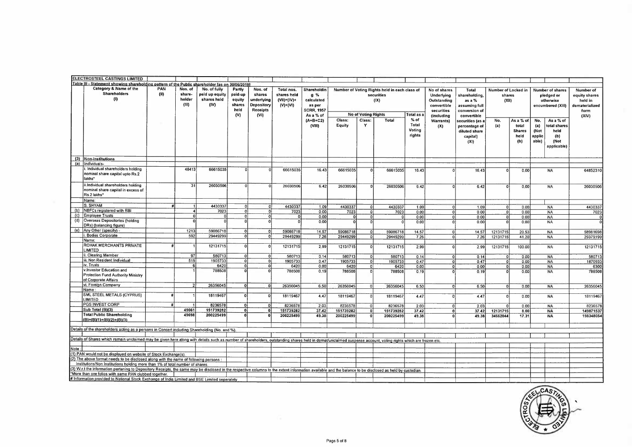|      | <b>ELECTROSTEEL CASTINGS LIMITED</b>                                                                                                                                                                           |             |                                      |                                                       |                                                      |                                                                          |                                                             |                                                                                     |           |                            |                                                                     |                           |                                                                                      |                                                                                  |                                        |                                       |                                |                                                                         |                                                                          |
|------|----------------------------------------------------------------------------------------------------------------------------------------------------------------------------------------------------------------|-------------|--------------------------------------|-------------------------------------------------------|------------------------------------------------------|--------------------------------------------------------------------------|-------------------------------------------------------------|-------------------------------------------------------------------------------------|-----------|----------------------------|---------------------------------------------------------------------|---------------------------|--------------------------------------------------------------------------------------|----------------------------------------------------------------------------------|----------------------------------------|---------------------------------------|--------------------------------|-------------------------------------------------------------------------|--------------------------------------------------------------------------|
|      | Table III - Statement showing shareholding pattern of the Public shareholder las on 30/06/2019]                                                                                                                |             |                                      |                                                       |                                                      |                                                                          |                                                             |                                                                                     |           |                            |                                                                     |                           |                                                                                      |                                                                                  |                                        |                                       |                                |                                                                         |                                                                          |
|      | Category & Name of the<br><b>Shareholders</b><br>(1)                                                                                                                                                           | PAN<br>(11) | Nos. of<br>share-<br>holder<br>(III) | No. of fully<br>paid up equity<br>shares held<br>(IV) | Partly<br>paid-up<br>equity<br>shares<br>held<br>(V) | Nos. of<br>shares<br>underlying<br>Depository<br><b>Receipts</b><br>(VI) | Total nos.<br>shares held<br>$(VII) = (IV) +$<br>$(V)+(VI)$ | Shareholdin<br>$g \gamma$<br>calculated<br>as per<br><b>SCRR, 1957</b><br>As a % of |           | <b>No of Voting Rights</b> | Number of Voting Rights held in each class of<br>securities<br>(IX) | Total as a                | No of shares<br>Underlying<br>Outstanding<br>convertible<br>securities<br>(including | Total<br>shareholding<br>as a %<br>assuming full<br>conversion of<br>convertible | Number of Locked in<br>shares<br>(X t) |                                       |                                | <b>Number of shares</b><br>pledged or<br>otherwise<br>encumbered (XIII) | Number of<br>equity shares<br>held in<br>dematerialized<br>form<br>(XIV) |
|      |                                                                                                                                                                                                                |             |                                      |                                                       |                                                      |                                                                          |                                                             | $(A+B+C2)$                                                                          | Class:    | Class:                     | Total                                                               | $%$ of                    | Warrants)                                                                            | securities (as a                                                                 | No.                                    | As a % of                             | No.                            | As a % of                                                               |                                                                          |
|      |                                                                                                                                                                                                                |             |                                      |                                                       |                                                      |                                                                          |                                                             | (VIII)                                                                              | Equity    | Y                          |                                                                     | Total<br>Voting<br>rights | (X)                                                                                  | percentage of<br>diluted share<br>capital)<br>(XI)                               | (a)                                    | total<br><b>Shares</b><br>held<br>(b) | (a)<br>(Not<br>applic<br>able) | total shares<br>held<br>(b)<br>(Not<br>applicable)                      |                                                                          |
|      | (3) Non-Institutions                                                                                                                                                                                           |             |                                      |                                                       |                                                      |                                                                          |                                                             |                                                                                     |           |                            |                                                                     |                           |                                                                                      |                                                                                  |                                        |                                       |                                |                                                                         |                                                                          |
|      | (a) Individuals-                                                                                                                                                                                               |             |                                      |                                                       |                                                      |                                                                          |                                                             |                                                                                     |           |                            |                                                                     |                           |                                                                                      |                                                                                  |                                        |                                       |                                |                                                                         |                                                                          |
|      | . Individual shareholders holding<br>nominal share capital upto Rs.2<br>lakhs*                                                                                                                                 |             | 48413                                | 66615035                                              |                                                      |                                                                          | 66615035                                                    | 16.43                                                                               | 66615035  |                            | 66615035                                                            | 16.43                     |                                                                                      | 16.43                                                                            |                                        | 0.00                                  |                                | <b>NA</b>                                                               | 64852310                                                                 |
|      | ii.Individual shareholders holding<br>nominal share capital in excess of<br>Rs.2 lakhs*                                                                                                                        |             | 31                                   | 26030506                                              | $\Omega$                                             | $\Omega$                                                                 | 26030506                                                    | 6.42                                                                                | 26030506  | $\Omega$                   | 26030506                                                            | 6.42                      |                                                                                      | 642                                                                              |                                        | 0.00                                  |                                | <b>NA</b>                                                               | 26030506                                                                 |
|      | Name:                                                                                                                                                                                                          |             |                                      |                                                       |                                                      |                                                                          |                                                             |                                                                                     |           |                            |                                                                     |                           |                                                                                      |                                                                                  |                                        |                                       |                                |                                                                         |                                                                          |
|      | S. SHYAM                                                                                                                                                                                                       |             |                                      | 4430337                                               |                                                      | $\mathbf 0$                                                              | 4430337                                                     | 1.09                                                                                | 4430337   | -01                        | 4430337                                                             | 1.09                      | $\Omega$                                                                             | 1.09                                                                             | ol                                     | 0.00                                  |                                | <b>NA</b>                                                               | 4430337                                                                  |
|      | NBFCs registered with RBI                                                                                                                                                                                      |             | $\mathbf{A}$                         | 7023                                                  | $\Omega$                                             | ol                                                                       | 7023                                                        | 0.00                                                                                | 7023      | $\Omega$                   | 7023                                                                | 0.00                      | $\Omega$                                                                             | 0.00                                                                             | $\overline{0}$                         | 0.00                                  |                                | <b>NA</b>                                                               | 7023                                                                     |
| (c)  | Employee Trusts<br>Overseas Depositories (holding                                                                                                                                                              |             | n                                    |                                                       | $\overline{0}$                                       | $\Omega$                                                                 | $\Omega$                                                    | 0.00                                                                                |           | $\Omega$                   |                                                                     | 0.00                      | $\Omega$                                                                             | 0.00                                                                             | $\Omega$                               | 0.00                                  |                                | <b>NA</b>                                                               |                                                                          |
| (d)  | DRs) (balancing figure)                                                                                                                                                                                        |             |                                      |                                                       |                                                      |                                                                          |                                                             | 0.00                                                                                |           |                            |                                                                     | 0.00                      |                                                                                      | 0.00                                                                             |                                        | 0.00                                  |                                | <b>NA</b>                                                               |                                                                          |
|      | (e) Any Other (specify) -<br>Bodies Corporate                                                                                                                                                                  |             | 1213                                 | 59086718                                              | $\Omega$                                             | n                                                                        | 59086718                                                    | 14.57                                                                               | 59086716  | $\Omega$                   | 59086718                                                            | 14.57                     | $\Omega$                                                                             | 14.57                                                                            | 12131715                               | 20.53                                 |                                | <b>NA</b>                                                               | 58981698                                                                 |
|      | Name:                                                                                                                                                                                                          |             | 592                                  | 29449299                                              | $\overline{0}$                                       | $\Omega$                                                                 | 29449299                                                    | 7 26                                                                                | 29449299  | $\Omega$                   | 29449299                                                            | 7.26                      | $\Omega$                                                                             | 7.26                                                                             | 12131715                               | 41.20                                 |                                | <b>NA</b>                                                               | 29379199                                                                 |
|      | ROHAK MERCHANTS PRIVATE<br>LIMITED                                                                                                                                                                             |             |                                      | 12131715                                              | $\Omega$                                             | $\Omega$                                                                 | 12131715                                                    | 2.99                                                                                | 12131715  | $\Omega$                   | 12131715                                                            | 2.99                      | $\Omega$                                                                             | 2.99                                                                             | 12131715                               | 100 00                                |                                | <b>NA</b>                                                               | 12131715                                                                 |
|      | Clearing Member                                                                                                                                                                                                |             | 97 I                                 | 580713                                                | $\Omega$                                             | οl                                                                       | 580713                                                      | 0.14                                                                                | 580713    | 0                          | 580713                                                              | 0.14                      |                                                                                      | 0.14                                                                             | $\Omega$                               | 0.00                                  |                                | <b>NA</b>                                                               | 580713                                                                   |
|      | ii, Non Resident Individual                                                                                                                                                                                    |             | 515                                  | 1905733                                               | $\Omega$                                             | ΩÌ                                                                       | 1905733                                                     | 0.47                                                                                | 1905733   | ol                         | 1905733                                                             | 0.47                      | $\Omega$                                                                             | 0.47                                                                             | $\Omega$                               | 0.00                                  |                                | <b>NA</b>                                                               | 1870933                                                                  |
|      | iv. Trusts                                                                                                                                                                                                     |             | 6                                    | 6420                                                  | $\overline{0}$                                       | $\Omega$                                                                 | 6420                                                        | 0.00                                                                                | 6420      | ol                         | 6420                                                                | 0.00                      | οł                                                                                   | 0.00                                                                             | -ol                                    | 0.00                                  |                                | <b>NA</b>                                                               | 6300                                                                     |
|      | v.Investor Education and<br>Protection Fund Authority Ministry<br>of Corporate Affairs                                                                                                                         |             |                                      | 788508                                                | $\overline{ }$                                       | $\overline{0}$                                                           | 788508                                                      | 0.19                                                                                | 788508    | $\overline{0}$             | 788508                                                              | 0.19                      | $\Omega$                                                                             | 0.19                                                                             |                                        | 0.00                                  |                                | NA.                                                                     | 788508                                                                   |
|      | vi. Foreign Company                                                                                                                                                                                            |             |                                      | 26356045                                              | $\Omega$                                             | $\Omega$                                                                 | 26356045                                                    | 6.50                                                                                | 26356045  | $\Omega$                   | 26356045                                                            | 6,50                      | $\Omega$                                                                             | 6.50                                                                             | $\Omega$                               | 0,00                                  |                                | <b>NA</b>                                                               | 26356045                                                                 |
|      | Name:                                                                                                                                                                                                          |             |                                      |                                                       |                                                      |                                                                          |                                                             |                                                                                     |           |                            |                                                                     |                           |                                                                                      |                                                                                  |                                        |                                       |                                |                                                                         |                                                                          |
|      | SML STEEL METALS (CYPRUS)<br>LIMITED                                                                                                                                                                           |             |                                      | 18119467                                              | $\Omega$                                             |                                                                          | 18119467                                                    | 4.47                                                                                | 18119467  | -ol                        | 18119467                                                            | 4.47                      | $\Omega$                                                                             | 4.47                                                                             | $\Omega$                               | 0.00                                  |                                | <b>NA</b>                                                               | 18119467                                                                 |
|      | PGS INVEST CORP                                                                                                                                                                                                |             |                                      | 8236578                                               | $\mathbf{0}$                                         |                                                                          | 8236578                                                     | 203                                                                                 | 8236578   | o                          | 8236578                                                             | 2.03                      |                                                                                      | 2.03                                                                             | $\Omega$                               | 0.00                                  |                                | <b>NA</b>                                                               | 8236578                                                                  |
|      | Sub Total (B)(3)                                                                                                                                                                                               |             | 49661                                | 151739282                                             | $\overline{0}$                                       |                                                                          | 151739282                                                   | 37.42                                                                               | 151739282 | $\mathbf{0}$               | 151739282                                                           | 37.42                     | n                                                                                    | 37.42                                                                            | 12131715                               | 8.00                                  |                                | <b>NA</b>                                                               | 14987153                                                                 |
|      | <b>Total Public Shareholding</b><br>$(B)=(B)(1)+(B)(2)+(B)(3)$                                                                                                                                                 |             | 49698                                | 200225499                                             |                                                      |                                                                          | 200225499                                                   | 49.38                                                                               | 200225499 | <b>n</b>                   | 200225499                                                           | 49.38                     |                                                                                      | 49.38                                                                            | 34662044                               | 17.31                                 |                                | <b>NA</b>                                                               | 198348054                                                                |
|      | Details of the shareholders acting as a persons in Concert including Shareholding (No. and %).                                                                                                                 |             |                                      |                                                       |                                                      |                                                                          |                                                             |                                                                                     |           |                            |                                                                     |                           |                                                                                      |                                                                                  |                                        |                                       |                                |                                                                         |                                                                          |
|      | Details of Shares which remain unclaimed may be given here along with details such as number of shareholders, outstanding shares held in demat/unclaimed suspense account, voting rights which are frozen etc. |             |                                      |                                                       |                                                      |                                                                          |                                                             |                                                                                     |           |                            |                                                                     |                           |                                                                                      |                                                                                  |                                        |                                       |                                |                                                                         |                                                                          |
|      |                                                                                                                                                                                                                |             |                                      |                                                       |                                                      |                                                                          |                                                             |                                                                                     |           |                            |                                                                     |                           |                                                                                      |                                                                                  |                                        |                                       |                                |                                                                         |                                                                          |
| Note |                                                                                                                                                                                                                |             |                                      |                                                       |                                                      |                                                                          |                                                             |                                                                                     |           |                            |                                                                     |                           |                                                                                      |                                                                                  |                                        |                                       |                                |                                                                         |                                                                          |
|      | 1) PAN would not be displayed on website of Stock Exchange(s)<br>2) The above format needs to be disclosed along with the name of following persons :                                                          |             |                                      |                                                       |                                                      |                                                                          |                                                             |                                                                                     |           |                            |                                                                     |                           |                                                                                      |                                                                                  |                                        |                                       |                                |                                                                         |                                                                          |
|      | Institutions/Non Institutions holding more than 1% of total number of shares.                                                                                                                                  |             |                                      |                                                       |                                                      |                                                                          |                                                             |                                                                                     |           |                            |                                                                     |                           |                                                                                      |                                                                                  |                                        |                                       |                                |                                                                         |                                                                          |
|      | 3) W.r.t the information pertaning to Depository Receipts, the same may be disclosed in the respective columns to the extent information available and the balance to be disclosed as held by custodian.       |             |                                      |                                                       |                                                      |                                                                          |                                                             |                                                                                     |           |                            |                                                                     |                           |                                                                                      |                                                                                  |                                        |                                       |                                |                                                                         |                                                                          |
|      | More than one folios with same PAN clubbed together.                                                                                                                                                           |             |                                      |                                                       |                                                      |                                                                          |                                                             |                                                                                     |           |                            |                                                                     |                           |                                                                                      |                                                                                  |                                        |                                       |                                |                                                                         |                                                                          |
|      | # Information provided to National Stock Exchange of India Limited and BSE Limited seperately                                                                                                                  |             |                                      |                                                       |                                                      |                                                                          |                                                             |                                                                                     |           |                            |                                                                     |                           |                                                                                      |                                                                                  |                                        |                                       |                                |                                                                         |                                                                          |

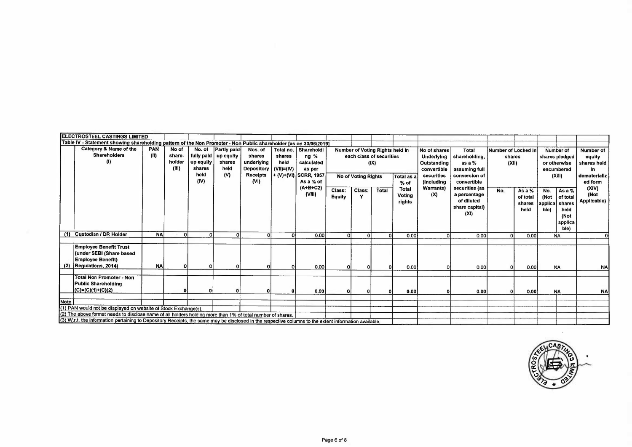|      | <b>ELECTROSTEEL CASTINGS LIMITED</b>                                                                                                                                                                                                                                                                                                    |                    |                                    |                                                             |                                                   |                                                                   |                                              |                                                                                    |                         |                            |                                                                     |                                         |                                                                                                     |                                                                                     |                                        |                                        |                                                                                                   |                                                                      |
|------|-----------------------------------------------------------------------------------------------------------------------------------------------------------------------------------------------------------------------------------------------------------------------------------------------------------------------------------------|--------------------|------------------------------------|-------------------------------------------------------------|---------------------------------------------------|-------------------------------------------------------------------|----------------------------------------------|------------------------------------------------------------------------------------|-------------------------|----------------------------|---------------------------------------------------------------------|-----------------------------------------|-----------------------------------------------------------------------------------------------------|-------------------------------------------------------------------------------------|----------------------------------------|----------------------------------------|---------------------------------------------------------------------------------------------------|----------------------------------------------------------------------|
|      | Table IV - Statement showing shareholding pattern of the Non Promoter - Non Public shareholder [as on 30/06/2019]                                                                                                                                                                                                                       |                    |                                    |                                                             |                                                   |                                                                   |                                              |                                                                                    |                         |                            |                                                                     |                                         |                                                                                                     |                                                                                     |                                        |                                        |                                                                                                   |                                                                      |
|      | Category & Name of the<br><b>Shareholders</b><br>$\left( 0 \right)$                                                                                                                                                                                                                                                                     | <b>PAN</b><br>(II) | No of<br>share-<br>holder<br>(III) | No. of<br>fully paid<br>up equity<br>shares<br>held<br>(IV) | Partly paid<br>up equity<br>shares<br>held<br>(V) | Nos. of<br>shares<br>underlying<br>Depository<br>Receipts<br>(VI) | Total no.<br>shares<br>held<br>$(VII)= (IV)$ | Shareholdi<br>$ng$ %<br>calculated<br>as per<br>+ (V)+(VI) SCRR, 1957<br>As a % of |                         | <b>No of Voting Rights</b> | Number of Voting Rights held in<br>each class of securities<br>(IX) | Total as a<br>$%$ of                    | No of shares<br>Underlying<br>Outstanding<br>convertible<br>securities<br><i><b>(including)</b></i> | Total<br>shareholding,<br>as a $%$<br>assuming full<br>conversion of<br>convertible | Number of Locked in<br>shares<br>(XII) |                                        | Number of<br>shares pledged<br>or otherwise<br>encumbered<br>(XIII)                               | Number of<br>equity<br>shares held<br>in.<br>dematerializ<br>ed form |
|      |                                                                                                                                                                                                                                                                                                                                         |                    |                                    |                                                             |                                                   |                                                                   |                                              | $(A+B+C2)$<br>(VIII)                                                               | Class:<br><b>Equity</b> | Class:<br>Y                | <b>Total</b>                                                        | <b>Total</b><br><b>Votina</b><br>rights | Warrants)<br>(X)                                                                                    | securities (as<br>a percentage<br>of diluted<br>share capital)<br>(X!)              | No.                                    | As a $%$<br>of total<br>shares<br>held | No.<br>As a %<br>(Not<br>of total<br>applica<br>shares<br>held<br>ble)<br>(Not<br>applica<br>ble) | (XIV)<br>(Not<br>Applicable)                                         |
|      | (1) Custodian / DR Holder                                                                                                                                                                                                                                                                                                               | <b>NA</b>          | $\Omega$                           | οl                                                          | οl                                                | O                                                                 |                                              | 0.00                                                                               |                         | ΩI                         |                                                                     | 0.00                                    |                                                                                                     | 0.00                                                                                | $\Omega$                               | 0.001                                  | <b>NA</b>                                                                                         | ΩI                                                                   |
|      | <b>Employee Benefit Trust</b><br>(under SEBI (Share based<br><b>Employee Benefit)</b><br>(2)  Regulations, 2014)                                                                                                                                                                                                                        | <b>NA</b>          | $\Omega$                           | οI                                                          |                                                   |                                                                   |                                              | o.ool                                                                              | ΩI                      |                            |                                                                     | 0.001                                   |                                                                                                     | 0.00                                                                                | n.                                     | 0.00                                   | <b>NA</b>                                                                                         | <b>NA</b>                                                            |
|      | <b>Total Non Promoter - Non</b><br><b>Public Shareholding</b><br>(C)=(C)(1)+(C)(2)                                                                                                                                                                                                                                                      |                    |                                    | $\mathbf{0}$                                                |                                                   |                                                                   |                                              | 0.00                                                                               |                         |                            |                                                                     | 0.00                                    |                                                                                                     | 0.00                                                                                | $\Omega$                               | 0.00                                   | <b>NA</b>                                                                                         | <b>NA</b>                                                            |
| Note | (1) PAN would not be displayed on website of Stock Exchange(s).<br>(2) The above format needs to disclose name of all holders holding more than 1% of total number of shares.<br>(3) W.r.t. the information pertaining to Depository Receipts, the same may be disclosed in the respective columns to the extent information available. |                    |                                    |                                                             |                                                   |                                                                   |                                              |                                                                                    |                         |                            |                                                                     |                                         |                                                                                                     |                                                                                     |                                        |                                        |                                                                                                   |                                                                      |

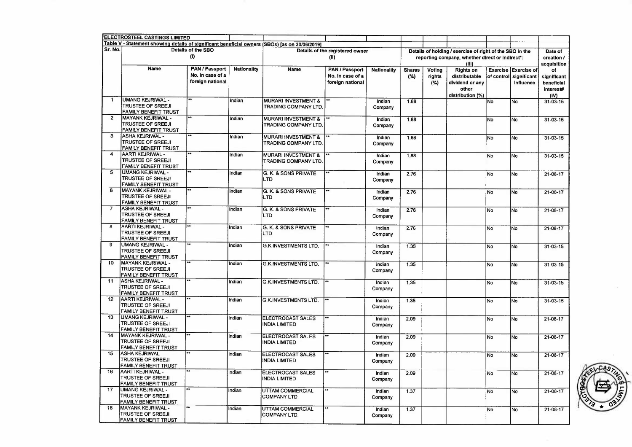|                | <b>ELECTROSTEEL CASTINGS LIMITED</b>                                                           |                                                               |                    |                                                        |                                                               |                    |                       |                         |                                                                                                             |           |                                                             |                                                             |
|----------------|------------------------------------------------------------------------------------------------|---------------------------------------------------------------|--------------------|--------------------------------------------------------|---------------------------------------------------------------|--------------------|-----------------------|-------------------------|-------------------------------------------------------------------------------------------------------------|-----------|-------------------------------------------------------------|-------------------------------------------------------------|
|                | Table V - Statement showing details of significant beneficial owners (SBOs) [as on 30/06/2019] |                                                               |                    |                                                        |                                                               |                    |                       |                         |                                                                                                             |           |                                                             |                                                             |
| Sr. No.        |                                                                                                | Details of the SBO<br>(1)                                     |                    |                                                        | Details of the registered owner<br>(II)                       |                    |                       |                         | Details of holding / exercise of right of the SBO in the<br>reporting company, whether direct or indirect*: |           |                                                             | Date of<br>creation /                                       |
|                | Name                                                                                           | <b>PAN / Passport</b><br>No. In case of a<br>foreign national | <b>Nationality</b> | Name                                                   | <b>PAN / Passport</b><br>No. in case of a<br>foreign national | <b>Nationality</b> | <b>Shares</b><br>(% ) | Voting<br>rights<br>(%) | (HI)<br><b>Rights on</b><br>distributable<br>dividend or any<br>other<br>distribution (%)                   |           | Exercise Exercise of<br>of control slanificant<br>influence | acquisition<br>оf<br>significant<br>beneficial<br>interest# |
| 1              | <b>UMANG KEJRIWAL -</b><br><b>TRUSTEE OF SREEJI</b><br>FAMILY BENEFIT TRUST                    | **                                                            | Indian             | <b>MURARI INVESTMENT &amp;</b><br>TRADING COMPANY LTD. |                                                               | Indian<br>Company  | 1.88                  |                         |                                                                                                             | No        | No                                                          | (IV)<br>$31 - 03 - 15$                                      |
| $\overline{2}$ | MAYANK KEJRIWAL -<br><b>TRUSTEE OF SREEJI</b><br>FAMILY BENEFIT TRUST                          |                                                               | Indian             | <b>MURARI INVESTMENT &amp;</b><br>TRADING COMPANY LTD  |                                                               | Indian<br>Company  | 1.88                  |                         |                                                                                                             | No        | No                                                          | $31 - 03 - 15$                                              |
| 3              | <b>ASHA KEJRIWAL -</b><br><b>TRUSTEE OF SREEJI</b><br>FAMILY BENEFIT TRUST                     | $\overline{}$                                                 | Indian             | <b>MURARI INVESTMENT &amp;</b><br>TRADING COMPANY LTD. |                                                               | Indian<br>Company  | 1.88                  |                         |                                                                                                             | No        | lNo                                                         | 31-03-15                                                    |
| 4              | AARTI KEJRIWAL -<br><b>TRUSTEE OF SREEJI</b><br>FAMILY BENEFIT TRUST                           |                                                               | Indian             | <b>MURARI INVESTMENT &amp;</b><br>TRADING COMPANY LTD. | $\overline{}$                                                 | Indian<br>Company  | 1.88                  |                         |                                                                                                             | No        | No                                                          | 31-03-15                                                    |
| $\overline{5}$ | UMANG KEJRIWAL -<br>TRUSTEE OF SREEJI<br>FAMILY BENEFIT TRUST                                  |                                                               | Indian             | G. K. & SONS PRIVATE<br>LTD                            | ⊷                                                             | Indian<br>Company  | 2.76                  |                         |                                                                                                             | No        | No                                                          | 21-08-17                                                    |
| 6              | MAYANK KEJRIWAL -<br><b>TRUSTEE OF SREEJI</b><br><b>FAMILY BENEFIT TRUST</b>                   |                                                               | Indian             | G. K. & SONS PRIVATE<br>LTD                            | **                                                            | Indian<br>Company  | 2.76                  |                         |                                                                                                             | No.       | No                                                          | $21 - 08 - 17$                                              |
| $\overline{7}$ | ASHA KEJRIWAL -<br><b>TRUSTEE OF SREEJI</b><br>FAMILY BENEFIT TRUST                            | ≂                                                             | Indian             | G. K. & SONS PRIVATE<br><b>LTD</b>                     | **                                                            | Indian<br>Company  | 2.76                  |                         |                                                                                                             | No        | N <sub>o</sub>                                              | 21-08-17                                                    |
| 8              | AARTI KEJRIWAL -<br><b>TRUSTEE OF SREEJI</b><br>FAMILY BENEFIT TRUST                           |                                                               | Indian             | G. K. & SONS PRIVATE<br>LTD                            | $\star\star$                                                  | Indian<br>Company  | 2.76                  |                         |                                                                                                             | <b>No</b> | No                                                          | 21-08-17                                                    |
| 9              | UMANG KEJRIWAL -<br><b>TRUSTEE OF SREEJI</b><br>FAMILY BENEFIT TRUST                           | $\overline{ }$                                                | Indian             | G.K.INVESTMENTS LTD.                                   |                                                               | Indian<br>Company  | 1.35                  |                         |                                                                                                             | <b>No</b> | No                                                          | 31-03-15                                                    |
| 10             | <b>MAYANK KEJRIWAL -</b><br><b>TRUSTEE OF SREEJI</b><br>FAMILY BENEFIT TRUST                   |                                                               | Indian             | G.K.INVESTMENTS LTD.                                   |                                                               | Indian<br>Company  | 1.35                  |                         |                                                                                                             | No        | lNo                                                         | $31 - 03 - 15$                                              |
| 11             | <b>ASHA KEJRIWAL -</b><br><b>TRUSTEE OF SREEJI</b><br>FAMILY BENEFIT TRUST                     |                                                               | Indian             | <b>G.K.INVESTMENTS LTD.</b>                            |                                                               | Indian<br>Company  | 1.35                  |                         |                                                                                                             | No        | No                                                          | 31-03-15                                                    |
| 12             | AARTI KEJRIWAL -<br>TRUSTEE OF SREEJI<br>FAMILY BENEFIT TRUST                                  |                                                               | Indian             | G.K.INVESTMENTS LTD.                                   |                                                               | Indian<br>Company  | 1.35                  |                         |                                                                                                             | No        | lNo.                                                        | $31 - 03 - 15$                                              |
| 13             | <b>UMANG KEJRIWAL -</b><br>TRUSTEE OF SREEJI<br>FAMILY BENEFIT TRUST                           |                                                               | Indian             | <b>ELECTROCAST SALES</b><br><b>INDIA LIMITED</b>       |                                                               | Indian<br>Company  | 2.09                  |                         |                                                                                                             | No        | No                                                          | 21-08-17                                                    |
| 14             | MAYANK KEJRIWAL -<br>TRUSTEE OF SREEJI<br>FAMILY BENEFIT TRUST                                 |                                                               | Indian             | <b>ELECTROCAST SALES</b><br><b>INDIA LIMITED</b>       |                                                               | Indian<br>Company  | 2.09                  |                         |                                                                                                             | No        | iNo                                                         | 21-08-17                                                    |
| 15             | <b>ASHA KEJRIWAL -</b><br><b>TRUSTEE OF SREEJI</b><br>FAMILY BENEFIT TRUST                     | ≂                                                             | Indian             | <b>ELECTROCAST SALES</b><br><b>INDIA LIMITED</b>       | $\star$                                                       | Indian<br>Company  | 2.09                  |                         |                                                                                                             | <b>No</b> | lNo                                                         | 21-08-17                                                    |
| 16             | AARTI KEJRIWAL -<br>TRUSTEE OF SREEJI<br>FAMILY BENEFIT TRUST                                  | $\overline{\phantom{a}}$                                      | Indian             | <b>ELECTROCAST SALES</b><br><b>INDIA LIMITED</b>       |                                                               | Indian<br>Company  | 2.09                  |                         |                                                                                                             | No        | <b>No</b>                                                   | 21-08-17                                                    |
| 17             | <b>UMANG KEJRIWAL -</b><br>TRUSTEE OF SREEJI<br>FAMILY BENEFIT TRUST                           | $\frac{1}{2}$                                                 | Indian             | UTTAM COMMERCIAL<br><b>COMPANY LTD.</b>                |                                                               | Indian<br>Company  | 1.37                  |                         |                                                                                                             | No        | No.                                                         | $21 - 08 - 17$                                              |
| 18             | MAYANK KEJRIWAL -<br>TRUSTEE OF SREEJI<br>FAMILY BENEFIT TRUST                                 | $\overline{1}$                                                | Indian             | UTTAM COMMERCIAL<br>COMPANY LTD.                       |                                                               | Indian<br>Company  | 1,37                  |                         |                                                                                                             | No        | No                                                          | 21-08-17                                                    |